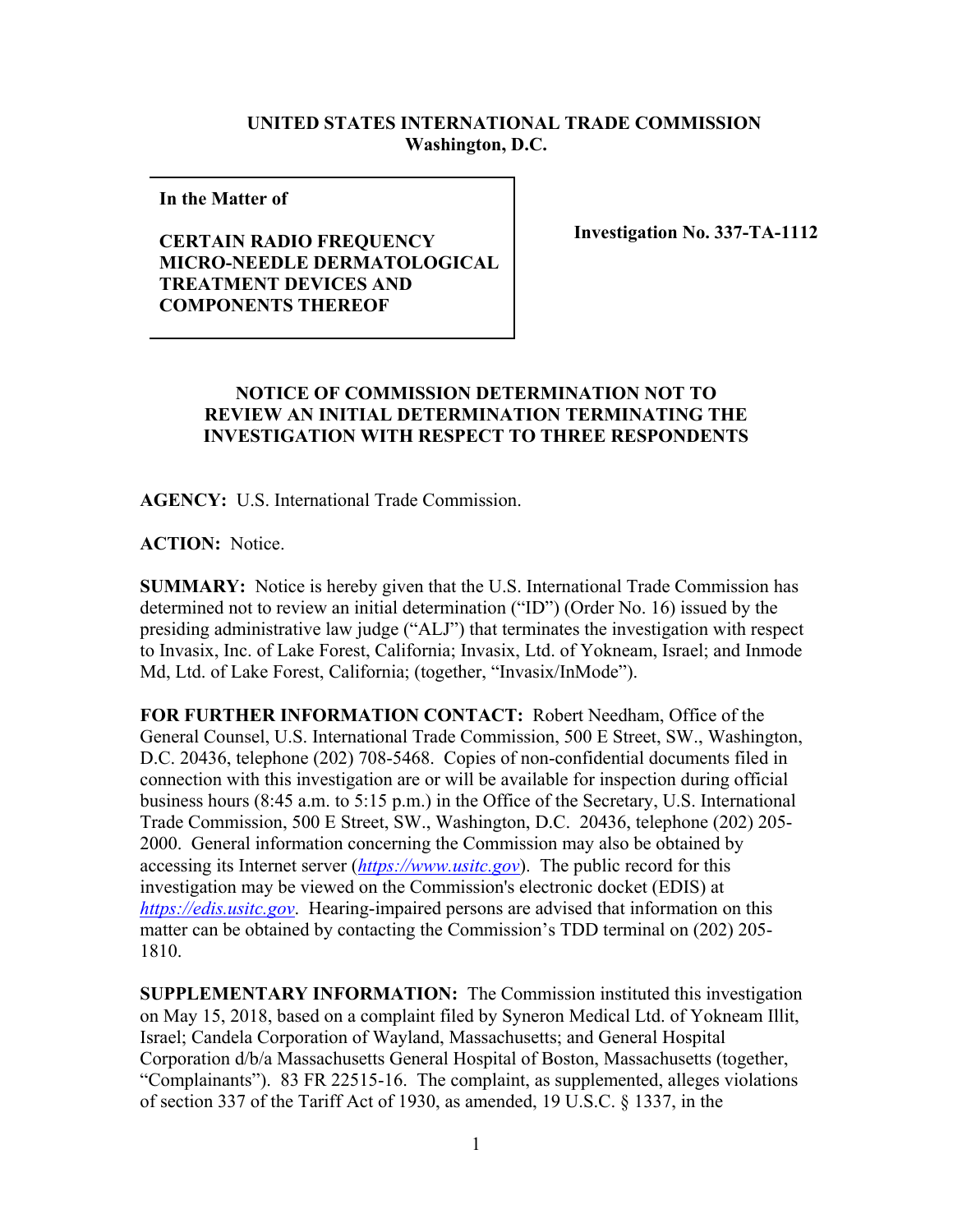## **UNITED STATES INTERNATIONAL TRADE COMMISSION Washington, D.C.**

**In the Matter of** 

## **CERTAIN RADIO FREQUENCY MICRO-NEEDLE DERMATOLOGICAL TREATMENT DEVICES AND COMPONENTS THEREOF**

**Investigation No. 337-TA-1112**

## **NOTICE OF COMMISSION DETERMINATION NOT TO REVIEW AN INITIAL DETERMINATION TERMINATING THE INVESTIGATION WITH RESPECT TO THREE RESPONDENTS**

**AGENCY:** U.S. International Trade Commission.

**ACTION:** Notice.

**SUMMARY:** Notice is hereby given that the U.S. International Trade Commission has determined not to review an initial determination ("ID") (Order No. 16) issued by the presiding administrative law judge ("ALJ") that terminates the investigation with respect to Invasix, Inc. of Lake Forest, California; Invasix, Ltd. of Yokneam, Israel; and Inmode Md, Ltd. of Lake Forest, California; (together, "Invasix/InMode").

**FOR FURTHER INFORMATION CONTACT:** Robert Needham, Office of the General Counsel, U.S. International Trade Commission, 500 E Street, SW., Washington, D.C. 20436, telephone (202) 708-5468. Copies of non-confidential documents filed in connection with this investigation are or will be available for inspection during official business hours (8:45 a.m. to 5:15 p.m.) in the Office of the Secretary, U.S. International Trade Commission, 500 E Street, SW., Washington, D.C. 20436, telephone (202) 205- 2000. General information concerning the Commission may also be obtained by accessing its Internet server (*https://www.usitc.gov*). The public record for this investigation may be viewed on the Commission's electronic docket (EDIS) at *https://edis.usitc.gov*. Hearing-impaired persons are advised that information on this matter can be obtained by contacting the Commission's TDD terminal on (202) 205- 1810.

**SUPPLEMENTARY INFORMATION:** The Commission instituted this investigation on May 15, 2018, based on a complaint filed by Syneron Medical Ltd. of Yokneam Illit, Israel; Candela Corporation of Wayland, Massachusetts; and General Hospital Corporation d/b/a Massachusetts General Hospital of Boston, Massachusetts (together, "Complainants"). 83 FR 22515-16. The complaint, as supplemented, alleges violations of section 337 of the Tariff Act of 1930, as amended, 19 U.S.C. § 1337, in the